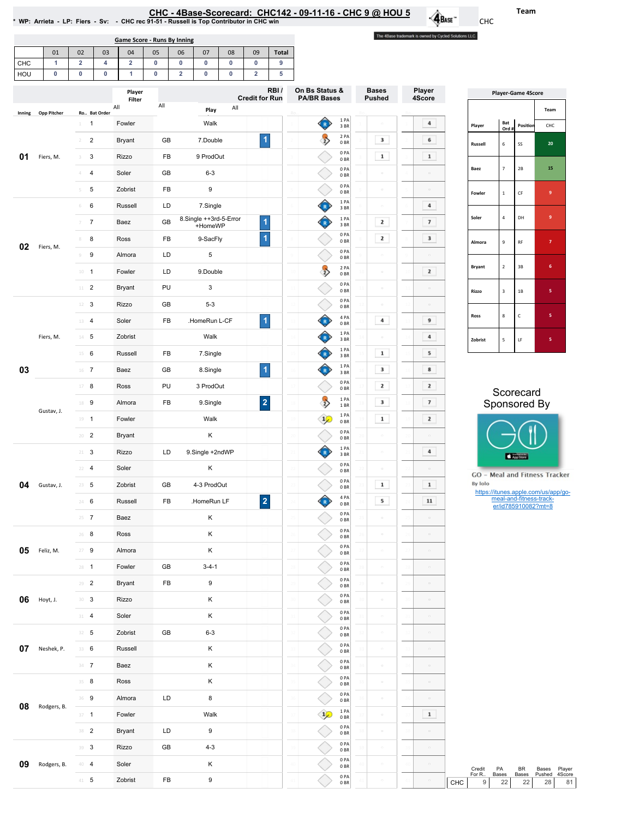| CHC - 4Base-Scorecard: CHC142 - 09-11-16 - CHC 9 @ HOU 5                                |  |
|-----------------------------------------------------------------------------------------|--|
| * WP: Arrieta - LP: Fiers - Sv: - CHC rec 91-51 - Russell is Top Contributor in CHC win |  |

Game Score - Runs By Inning

The 4Base trademark is owned by Cycled Solutions LLC.

 $\mathbf{\hat{A}}$ Base

|            | 01                                         | 02                           | 03            | 04                           | 05     | 06                       | 07                                | 08                       | 09                           | <b>Total</b> |                                      |                            |                               |                          |     |                                                                |                           |                                                                              |                                                 |
|------------|--------------------------------------------|------------------------------|---------------|------------------------------|--------|--------------------------|-----------------------------------|--------------------------|------------------------------|--------------|--------------------------------------|----------------------------|-------------------------------|--------------------------|-----|----------------------------------------------------------------|---------------------------|------------------------------------------------------------------------------|-------------------------------------------------|
| CHC<br>HOU | $\mathbf{1}$<br>$\pmb{0}$                  | $\overline{\mathbf{2}}$<br>0 | 4<br>$\bf{0}$ | $\overline{\mathbf{2}}$<br>1 | 0<br>0 | $\pmb{0}$<br>$\mathbf 2$ | $\mathbf 0$<br>$\pmb{0}$          | $\mathbf 0$<br>$\pmb{0}$ | 0<br>$\overline{\mathbf{2}}$ | 9<br>5       |                                      |                            |                               |                          |     |                                                                |                           |                                                                              |                                                 |
|            |                                            |                              |               | Player<br>Filter             |        |                          |                                   |                          | <b>Credit for Run</b>        | RBI/         | On Bs Status &<br><b>PA/BR Bases</b> |                            | <b>Bases</b><br><b>Pushed</b> | Player<br>4Score         |     |                                                                |                           | <b>Player-Game 4Score</b>                                                    |                                                 |
| Inning     | <b>Opp Pitcher</b>                         |                              | Ro Bat Order  | All                          | All    |                          | Play                              | All                      |                              |              |                                      |                            |                               |                          |     |                                                                |                           |                                                                              | Team                                            |
|            |                                            | -1<br>1                      |               | Fowler                       |        |                          | Walk                              |                          |                              |              | $\bigcirc$                           | 1 PA<br>3 BR               |                               | 4                        |     | Player                                                         | Bat<br>Ord#               | Position                                                                     | CHC                                             |
|            |                                            | $\sqrt{2}$<br>$\overline{2}$ |               | <b>Bryant</b>                | GB     |                          | 7.Double                          |                          | $\blacktriangleleft$         |              | $\rightarrow$                        | 2 PA<br>0BR                | 3                             | 6                        |     | Russell                                                        | $\,6\,$                   | SS                                                                           | 20 <sub>2</sub>                                 |
| 01         | Fiers, M.                                  | 3<br>3                       |               | Rizzo                        | FB     |                          | 9 ProdOut                         |                          |                              |              |                                      | 0PA<br>0BR                 | $\mathbf 1$                   | $\mathbf 1$              |     |                                                                |                           |                                                                              |                                                 |
|            |                                            | $\overline{\mathbf{4}}$<br>4 |               | Soler                        | GB     |                          | $6 - 3$                           |                          |                              |              |                                      | 0 PA<br>0BR                |                               |                          |     | Baez                                                           | $\overline{7}$            | $2\mathsf{B}$                                                                | 15                                              |
|            |                                            | 5<br>5                       |               | Zobrist                      | FB     |                          | 9                                 |                          |                              |              |                                      | 0 PA<br>0BR                |                               |                          |     | Fowler                                                         | $\mathbf 1$               | $\mathsf{CF}$                                                                | 9                                               |
|            |                                            | 6<br>6                       |               | Russell                      | LD     |                          | 7.Single                          |                          |                              |              | Ô                                    | 1 PA<br>3 BR               |                               | 4                        |     |                                                                |                           |                                                                              |                                                 |
|            |                                            | $\overline{7}$<br>7          |               | Baez                         | GB     |                          | 8.Single ++3rd-5-Error<br>+HomeWP |                          | $\overline{\mathbf{1}}$      |              | $\left( R\right)$                    | 1PA<br>3 BR                | 2                             | $\overline{\phantom{a}}$ |     | Soler                                                          | $\sqrt{4}$                | DH                                                                           | 9                                               |
|            |                                            | 8<br>8                       |               | Ross                         | FB     |                          | 9-SacFly                          |                          | $\overline{1}$               |              |                                      | 0PA<br>0BR                 | $\mathbf{z}$                  | 3                        |     | Almora                                                         | $\boldsymbol{9}$          | $\mathsf{RF}$                                                                | $\mathbf{Z}^{\prime}$                           |
| 02         | Fiers, M.                                  | 9<br>$\circ$                 |               | Almora                       | LD     |                          | 5                                 |                          |                              |              |                                      | 0 PA<br>0 BR               |                               |                          |     |                                                                |                           |                                                                              |                                                 |
|            |                                            | $10 - 1$                     |               | Fowler                       | LD     |                          | 9.Double                          |                          |                              |              | $\rightarrow$                        | 2 PA<br>0BR                | $\Box$                        | $\mathbf{z}$             |     | <b>Bryant</b>                                                  | $\overline{2}$            | $3\mathsf{B}$                                                                | 6 <sub>1</sub>                                  |
|            |                                            | $11$ – $2$                   |               | <b>Bryant</b>                | PU     |                          | 3                                 |                          |                              |              |                                      | 0PA<br>0BR                 |                               |                          |     | Rizzo                                                          | $\ensuremath{\mathsf{3}}$ | $1\mathrm{B}$                                                                | ${\bf 5}$                                       |
|            |                                            | $12 - 3$                     |               | Rizzo                        | GB     |                          | $5 - 3$                           |                          |                              |              |                                      | 0 PA<br>0BR                |                               |                          |     |                                                                |                           |                                                                              |                                                 |
|            |                                            | 13 4                         |               | Soler                        | FB     |                          | .HomeRun L-CF                     |                          | $\overline{1}$               |              | $_{R}$                               | 4 PA<br>0BR                | 4                             | 9                        |     | Ross                                                           | $\bf8$                    | $\mathsf{C}$                                                                 | 5                                               |
|            | Fiers, M.                                  | $14$ 5                       |               | Zobrist                      |        |                          | Walk                              |                          |                              |              | Û                                    | $1\ \mathsf{PA}$<br>3 BR   |                               | 4                        |     | Zobrist                                                        | $\sqrt{5}$                | $\mathsf{LF}% _{0}\left( t\right) \rightarrow\mathsf{LF}_{0}\left( t\right)$ | $\mathbf S$                                     |
|            |                                            | $15 \t 6$                    |               | Russell                      | FB     |                          | 7.Single                          |                          |                              |              | Ô                                    | 1 PA<br>3BR                | $\mathbf 1$                   | 5                        |     |                                                                |                           |                                                                              |                                                 |
| 03         |                                            | $16$ 7                       |               | Baez                         | GB     |                          | 8.Single                          |                          | $\blacktriangleleft$         |              | Ô                                    | 1 PA<br>3 BR               | 3                             | 8                        |     |                                                                |                           |                                                                              |                                                 |
|            |                                            | 17 8                         |               | Ross                         | PU     |                          | 3 ProdOut                         |                          |                              |              |                                      | 0PA<br>0BR                 | $\mathbf{z}$                  | $\mathbf{2}$             |     |                                                                |                           | Scorecard                                                                    |                                                 |
|            | Gustav, J.                                 | 18 9                         |               | Almora                       | FB     |                          | 9.Single                          |                          | $\overline{2}$               |              | $\rightarrow$                        | 1 PA<br>1 BR               | 3                             | $\overline{\phantom{a}}$ |     | Sponsored By                                                   |                           |                                                                              |                                                 |
|            |                                            | $19 - 1$                     |               | Fowler                       |        |                          | Walk                              |                          |                              |              | $\mathbf{1}$                         | 1PA<br>0BR                 | $\mathbf 1$                   | $\mathbf{z}$             |     |                                                                |                           |                                                                              |                                                 |
|            |                                            | $20 - 2$                     |               | <b>Bryant</b>                |        |                          | Κ                                 |                          |                              |              |                                      | 0PA<br>0BR                 |                               |                          |     |                                                                |                           |                                                                              |                                                 |
|            | 9.Single +2ndWP<br>Rizzo<br>LD<br>$21 - 3$ |                              |               |                              |        | Ô                        | 1 PA<br>3BR                       |                          | 4                            | App Store    |                                      |                            |                               |                          |     |                                                                |                           |                                                                              |                                                 |
|            |                                            | 22 4                         |               | Soler                        |        |                          | Κ                                 |                          |                              |              |                                      | 0 PA<br>0BR                |                               |                          |     |                                                                |                           |                                                                              | GO - Meal and Fitness Tracker                   |
| 04         | Gustav, J.                                 | $23 - 5$                     |               | Zobrist                      | GB     |                          | 4-3 ProdOut                       |                          |                              |              |                                      | 0 PA<br>0 BR               | $\mathbf 1$                   | $\mathbf{1}$             |     | By Iolo                                                        |                           |                                                                              |                                                 |
|            |                                            | 24 6                         |               | Russell                      | FB     |                          | .HomeRun LF                       |                          | $\overline{\mathbf{2}}$      |              | $\bigcirc$                           | 4 PA<br>0 BR               | 5                             | ${\bf 11}$               |     | https://itunes.apple.com/us/app/go-<br>meal-and-fitness-track- |                           | er/id785910082?mt=8                                                          |                                                 |
|            |                                            | $25 - 7$                     |               | Baez                         |        |                          | Κ                                 |                          |                              |              |                                      | $0$ PA<br>$0\;\mathrm{BR}$ |                               |                          |     |                                                                |                           |                                                                              |                                                 |
|            |                                            | $26$ 8                       |               | Ross                         |        |                          | Κ                                 |                          |                              |              |                                      | 0PA<br>0BR                 |                               |                          |     |                                                                |                           |                                                                              |                                                 |
| 05         | Feliz, M.                                  | $27 - 9$                     |               | Almora                       |        |                          | Κ                                 |                          |                              |              |                                      | 0PA<br>$0\;\mathrm{BR}$    | $\equiv$                      |                          |     |                                                                |                           |                                                                              |                                                 |
|            |                                            | $28 - 1$                     |               | Fowler                       | GB     |                          | $3 - 4 - 1$                       |                          |                              |              |                                      | 0PA<br>$0\;\mathrm{BR}$    | $\Box$                        |                          |     |                                                                |                           |                                                                              |                                                 |
|            |                                            | $29 - 2$                     |               | <b>Bryant</b>                | FB     |                          | 9                                 |                          |                              |              |                                      | 0PA<br>0B                  |                               |                          |     |                                                                |                           |                                                                              |                                                 |
| 06         | Hoyt, J.                                   | $30-3$                       |               | Rizzo                        |        |                          | Κ                                 |                          |                              |              |                                      | 0PA<br>0BR                 | $\alpha$                      |                          |     |                                                                |                           |                                                                              |                                                 |
|            |                                            | $31 - 4$                     |               | Soler                        |        |                          | K                                 |                          |                              |              |                                      | 0PA<br>0B                  | $\alpha$                      |                          |     |                                                                |                           |                                                                              |                                                 |
|            |                                            | $32 - 5$                     |               | Zobrist                      | GB     |                          | $6 - 3$                           |                          |                              |              |                                      | 0PA<br>$0\;\mathrm{BR}$    | $\Box$                        |                          |     |                                                                |                           |                                                                              |                                                 |
| 07         | Neshek, P.                                 | 33 6                         |               | Russell                      |        |                          | Κ                                 |                          |                              |              |                                      | 0PA<br>0BR                 | $\hfill \square$              |                          |     |                                                                |                           |                                                                              |                                                 |
|            |                                            | $34 - 7$                     |               | Baez                         |        |                          | Κ                                 |                          |                              |              |                                      | 0PA<br>$0\;\mathrm{BR}$    | $\Box$                        |                          |     |                                                                |                           |                                                                              |                                                 |
|            |                                            | $35 - 8$                     |               | Ross                         |        |                          | Κ                                 |                          |                              |              |                                      | 0PA<br>0B                  | $\Box$                        |                          |     |                                                                |                           |                                                                              |                                                 |
|            |                                            | 36 9                         |               | Almora                       | LD     |                          | 8                                 |                          |                              |              |                                      | 0PA<br>$0\,\mathrm{BR}$    | $\hfill \square$              |                          |     |                                                                |                           |                                                                              |                                                 |
| 08         | Rodgers, B.                                | $37 - 1$                     |               | Fowler                       |        |                          | Walk                              |                          |                              |              | $\mathcal{P}$                        | 1 PA<br>$0\,\mathrm{BR}$   | $\Box$                        | $\mathbf{1}$             |     |                                                                |                           |                                                                              |                                                 |
|            |                                            | $38$ 2                       |               | <b>Bryant</b>                | LD     |                          | 9                                 |                          |                              |              |                                      | 0 PA<br>0B                 | $\Box$                        |                          |     |                                                                |                           |                                                                              |                                                 |
|            |                                            | $39$ 3                       |               | Rizzo                        | GB     |                          | $4 - 3$                           |                          |                              |              |                                      | 0PA<br>$0\;\mathrm{BR}$    |                               |                          |     |                                                                |                           |                                                                              |                                                 |
| 09         | Rodgers, B.                                | $40 - 4$                     |               | Soler                        |        |                          | Κ                                 |                          |                              |              |                                      | 0PA<br>0B                  | $\Box$                        |                          |     |                                                                |                           |                                                                              |                                                 |
|            |                                            | $41 - 5$                     |               | Zobrist                      | FB     |                          | 9                                 |                          |                              |              |                                      | 0 PA<br>$0\;\mathrm{BR}$   |                               |                          | CHC | Credit<br>For R<br>$\boldsymbol{9}$                            | PA<br>Bases<br>22         | BR<br>Bases<br>22                                                            | Bases<br>Player<br>Pushed<br>4Score<br>28<br>81 |

| <b>Player-Game 4Score</b> |                         |           |      |  |  |  |  |  |  |  |  |
|---------------------------|-------------------------|-----------|------|--|--|--|--|--|--|--|--|
|                           |                         |           | Team |  |  |  |  |  |  |  |  |
| Player                    | Bat<br>Ord#             | Position  | CHC  |  |  |  |  |  |  |  |  |
| <b>Russell</b>            | 6                       | SS        | 20   |  |  |  |  |  |  |  |  |
| Baez                      | $\overline{7}$          | 2B        | 15   |  |  |  |  |  |  |  |  |
| Fowler                    | $\overline{1}$          | CF        | 9    |  |  |  |  |  |  |  |  |
| Soler                     | $\overline{4}$          | DH        | 9    |  |  |  |  |  |  |  |  |
| Almora                    | 9                       | <b>RF</b> | 7    |  |  |  |  |  |  |  |  |
| <b>Bryant</b>             | $\overline{2}$          | 3B        | 6    |  |  |  |  |  |  |  |  |
| Rizzo                     | $\overline{\mathbf{3}}$ | 1B        | 5    |  |  |  |  |  |  |  |  |
| Ross                      | 8                       | C         | 5    |  |  |  |  |  |  |  |  |
| Zobrist                   | 5                       | LF        | 5    |  |  |  |  |  |  |  |  |

## Scorecard Sponsored By



Team

CHC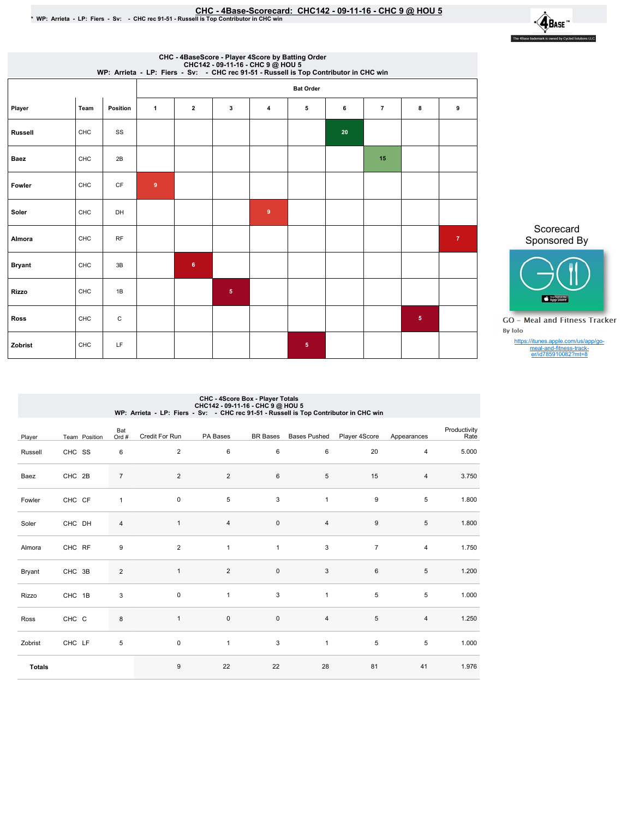

|               | CHC - 4BaseScore - Player 4Score by Batting Order<br>CHC142 - 09-11-16 - CHC 9 @ HOU 5<br>WP: Arrieta - LP: Fiers - Sv: - CHC rec 91-51 - Russell is Top Contributor in CHC win |             |                  |             |            |                         |   |    |                |           |              |  |  |  |  |
|---------------|---------------------------------------------------------------------------------------------------------------------------------------------------------------------------------|-------------|------------------|-------------|------------|-------------------------|---|----|----------------|-----------|--------------|--|--|--|--|
|               |                                                                                                                                                                                 |             | <b>Bat Order</b> |             |            |                         |   |    |                |           |              |  |  |  |  |
| Player        | Team                                                                                                                                                                            | Position    | $\mathbf{1}$     | $\mathbf 2$ | 3          | $\overline{\mathbf{4}}$ | 5 | 6  | $\overline{7}$ | 8         | 9            |  |  |  |  |
| Russell       | CHC                                                                                                                                                                             | SS          |                  |             |            |                         |   | 20 |                |           |              |  |  |  |  |
| <b>Baez</b>   | CHC                                                                                                                                                                             | 2B          |                  |             |            |                         |   |    | 15             |           |              |  |  |  |  |
| Fowler        | CHC                                                                                                                                                                             | CF          | 9                |             |            |                         |   |    |                |           |              |  |  |  |  |
| Soler         | CHC                                                                                                                                                                             | DH          |                  |             |            | $\boldsymbol{9}$        |   |    |                |           |              |  |  |  |  |
| Almora        | CHC                                                                                                                                                                             | <b>RF</b>   |                  |             |            |                         |   |    |                |           | $\mathbf{7}$ |  |  |  |  |
| <b>Bryant</b> | CHC                                                                                                                                                                             | 3B          |                  | $\bf 6$     |            |                         |   |    |                |           |              |  |  |  |  |
| <b>Rizzo</b>  | CHC                                                                                                                                                                             | 1B          |                  |             | $\sqrt{5}$ |                         |   |    |                |           |              |  |  |  |  |
| <b>Ross</b>   | CHC                                                                                                                                                                             | $\mathsf C$ |                  |             |            |                         |   |    |                | ${\bf 5}$ |              |  |  |  |  |
| Zobrist       | CHC                                                                                                                                                                             | LF          |                  |             |            |                         | 5 |    |                |           |              |  |  |  |  |

Scorecard Sponsored By



**GO** - Meal and Fitness Tracker By Iolo

https://itunes.apple.com/us/app/go-meal-and-fitness-track-er/id785910082?mt=8

## CHC - 4Score Box - Player Totals<br>CHC 142 - 09-11-16 - CHC - 1991<br>WP: Arrieta - LP: Fiers - Sv: - CHC rec 91-51 - Russell is Top Contributor in CHC win

| Player        |        | Team Position | Bat<br>Ord #     | Credit For Run | PA Bases     | <b>BR</b> Bases | <b>Bases Pushed</b>     | Player 4Score  | Appearances    | Productivity<br>Rate |
|---------------|--------|---------------|------------------|----------------|--------------|-----------------|-------------------------|----------------|----------------|----------------------|
| Russell       | CHC SS |               | 6                | $\overline{2}$ | 6            | 6               | 6                       | 20             | 4              | 5.000                |
| Baez          | CHC 2B |               | $\overline{7}$   | 2              | 2            | 6               | 5                       | 15             | $\overline{4}$ | 3.750                |
| Fowler        | CHC CF |               | $\mathbf{1}$     | $\mathsf 0$    | 5            | 3               | $\mathbf{1}$            | 9              | 5              | 1.800                |
| Soler         | CHC DH |               | $\overline{4}$   | $\mathbf{1}$   | $\sqrt{4}$   | $\mathsf 0$     | $\overline{\mathbf{4}}$ | 9              | $\overline{5}$ | 1.800                |
| Almora        | CHC RF |               | $\boldsymbol{9}$ | $\overline{2}$ | $\mathbf{1}$ | $\mathbf{1}$    | 3                       | $\overline{7}$ | $\overline{4}$ | 1.750                |
| Bryant        | CHC 3B |               | $\sqrt{2}$       | $\mathbf{1}$   | 2            | $\mathsf 0$     | 3                       | 6              | $\,$ 5 $\,$    | 1.200                |
| Rizzo         | CHC 1B |               | 3                | $\mathbf 0$    | $\mathbf{1}$ | 3               | $\mathbf{1}$            | 5              | $\,$ 5 $\,$    | 1.000                |
| Ross          | CHC C  |               | $\bf 8$          | $\mathbf{1}$   | $\pmb{0}$    | $\mathsf 0$     | $\overline{4}$          | 5              | $\overline{4}$ | 1.250                |
| Zobrist       | CHC LF |               | 5                | $\mathbf 0$    | $\mathbf{1}$ | 3               | $\mathbf{1}$            | 5              | 5              | 1.000                |
| <b>Totals</b> |        |               |                  | 9              | 22           | 22              | 28                      | 81             | 41             | 1.976                |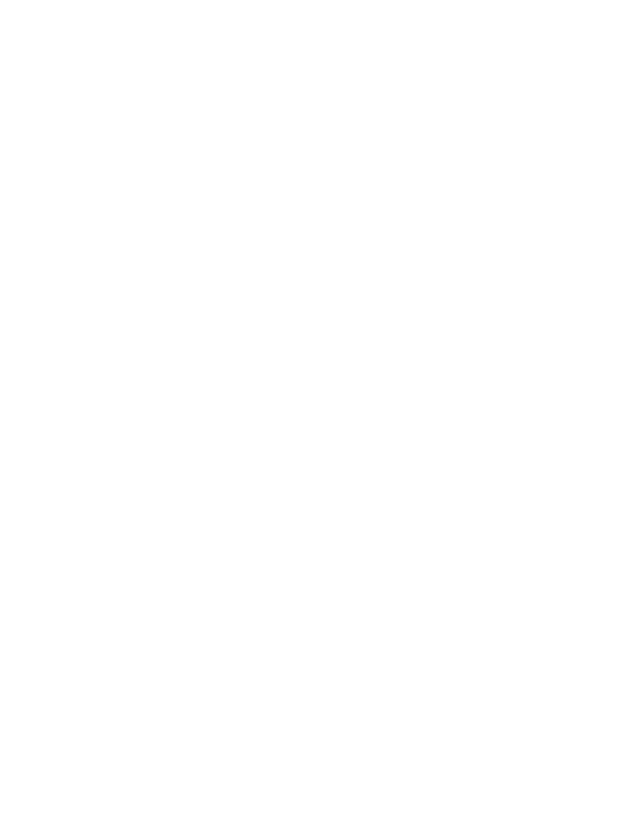|                                                   |  | $8+8$ %DVH6FRUHFDLG $8+8$               |  |
|---------------------------------------------------|--|-----------------------------------------|--|
| : $3$ $$U U H \Phi$ / $3$ $)$ LHUV $6Y$ $8+8$ UHF |  | 5 XVVHOOLV 7 RS & ROWLEXWRULQ & + & ZLQ |  |

 $8+8$  # +28

| & + & %DVH6FRUH 300 NU 6FRUHE\%DWMQJ2UGHU<br>$8 + 8$<br>$8+8$ # +28 |                                                                                |                              |  |           |  |  |  |  |  |  |  |  |  |
|---------------------------------------------------------------------|--------------------------------------------------------------------------------|------------------------------|--|-----------|--|--|--|--|--|--|--|--|--|
|                                                                     | : 3 \$ULLHMD / 3 ) LHUV 6Y & +& UHF<br>5 XVVHOUV 7 RS & ROMMEXWRULQ & + & Z LQ |                              |  |           |  |  |  |  |  |  |  |  |  |
|                                                                     |                                                                                |                              |  | %DW2 UGHU |  |  |  |  |  |  |  |  |  |
| 300 HU                                                              | 7HDP                                                                           | 3 RVLWRQ                     |  |           |  |  |  |  |  |  |  |  |  |
| 5 XVVHO                                                             | $8 + 8$                                                                        | 66                           |  |           |  |  |  |  |  |  |  |  |  |
| %DH                                                                 | $8 + 8$                                                                        | $\%$                         |  |           |  |  |  |  |  |  |  |  |  |
| ) RZ OHU                                                            | $8 + 8$                                                                        | &)                           |  |           |  |  |  |  |  |  |  |  |  |
| 6ROHU                                                               | $8 + 8$                                                                        | $^{\prime}$ +                |  |           |  |  |  |  |  |  |  |  |  |
| \$ OP RUD                                                           | $8 + 8$                                                                        | 5)                           |  |           |  |  |  |  |  |  |  |  |  |
| %U DOW                                                              | $8 + 8$                                                                        | $\%$                         |  |           |  |  |  |  |  |  |  |  |  |
| $5$ 4] $R$                                                          | $8 + 8$                                                                        | $\%$                         |  |           |  |  |  |  |  |  |  |  |  |
| 5RW                                                                 | $8 + 8$                                                                        | &                            |  |           |  |  |  |  |  |  |  |  |  |
| $=$ REULWV                                                          | $8 + 8$                                                                        | $\left( \frac{1}{2} \right)$ |  |           |  |  |  |  |  |  |  |  |  |



<u>KWOSY WACHYDSSON FRP XVDSSJR</u><br>PHDCDQGILWOHAYWOFN<br><u>HULG "PW</u>

|                               |               |                               | : 3 \$ULLHMD / 3 ) LHUV 6Y & +& UHF 5XVVHOOLV 7RS&RQMLEXWRULQ& +& ZLQ    | $8 + 8$ | & + & 6 FRUH%R[ 30D\HU7RWDOV<br>$8+8$ # +28 |  |                   |
|-------------------------------|---------------|-------------------------------|--------------------------------------------------------------------------|---------|---------------------------------------------|--|-------------------|
| 30 NU                         | 7HDP 3RVMLIRQ | %DW<br>$2 \text{ }\mathsf{L}$ | & UHGLV) RU5XQ 3\$ %DVHV %6 %DVHV %DVHV 3XVKHG 300XHU 6FRUH \$SSHDUDGFHV |         |                                             |  | 3 URGXFWWW<br>5DM |
| 5 XVVHO                       | $8+8$ 66      |                               |                                                                          |         |                                             |  |                   |
| %DH                           | &+& %         |                               |                                                                          |         |                                             |  |                   |
| ) RZ OHU                      | $& 8 + 8 & 8$ |                               |                                                                          |         |                                             |  |                   |
| 6 ROHU                        | $8+8$ ' +     |                               |                                                                          |         |                                             |  |                   |
| \$ OP RUD                     | $8+8$ 5)      |                               |                                                                          |         |                                             |  |                   |
| <b>VAN DOW</b>                | &+&%          |                               |                                                                          |         |                                             |  |                   |
| $5$ $\downarrow$ $\uparrow$ R | $&+8$ %       |                               |                                                                          |         |                                             |  |                   |
| 5 RW                          | $8+8$ $8$     |                               |                                                                          |         |                                             |  |                   |
| $=$ REUMV                     | $8+8$ ()      |                               |                                                                          |         |                                             |  |                   |
| 7RWDOV                        |               |                               |                                                                          |         |                                             |  |                   |
|                               |               |                               |                                                                          |         |                                             |  |                   |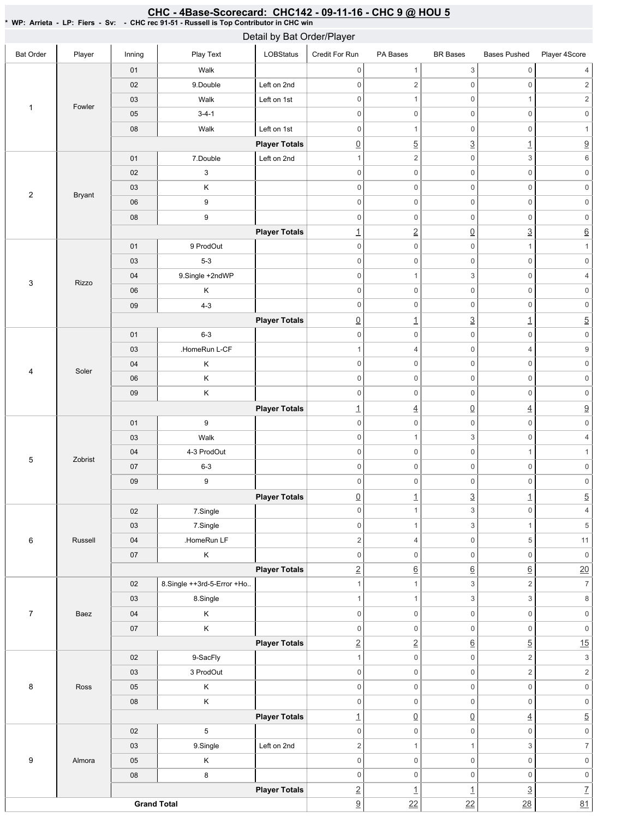|                  |               |            | $\mathbf{v}$ . Anneta - Lr. ners - Ov. - Ono rec short - Kussen is top continuator in Ono will | Detail by Bat Order/Player |                          |                     |                     |                          |                           |
|------------------|---------------|------------|------------------------------------------------------------------------------------------------|----------------------------|--------------------------|---------------------|---------------------|--------------------------|---------------------------|
| <b>Bat Order</b> | Player        | Inning     | Play Text                                                                                      | LOBStatus                  | Credit For Run           | PA Bases            | <b>BR</b> Bases     | <b>Bases Pushed</b>      | Player 4Score             |
|                  |               | 01         | Walk                                                                                           |                            | $\mathsf 0$              | $\mathbf{1}$        | 3                   | $\mathsf{O}\xspace$      | 4                         |
|                  |               | 02         | 9.Double                                                                                       | Left on 2nd                | $\mathsf{O}\xspace$      | $\overline{c}$      | $\mathsf{O}\xspace$ | $\mathbf 0$              | $\sqrt{2}$                |
|                  |               | 03         | Walk                                                                                           | Left on 1st                | $\mathsf 0$              | $\mathbf{1}$        | $\mathsf 0$         | $\mathbf{1}$             | $\sqrt{2}$                |
| $\mathbf{1}$     | Fowler        | 05         | $3 - 4 - 1$                                                                                    |                            | $\mathbf 0$              | $\mathsf{O}\xspace$ | $\mathsf{O}\xspace$ | $\mathsf{O}\xspace$      | $\mathsf{O}\xspace$       |
|                  |               | 08         | Walk                                                                                           | Left on 1st                | $\mathsf{O}\xspace$      | $\mathbf{1}$        | $\mathsf{O}\xspace$ | $\mathsf{O}\xspace$      | $\mathbf{1}$              |
|                  |               |            |                                                                                                | <b>Player Totals</b>       | $\underline{0}$          | $\overline{5}$      | $\overline{3}$      | $\underline{\mathbf{1}}$ | $\underline{9}$           |
|                  |               | 01         | 7.Double                                                                                       | Left on 2nd                | $\mathbf{1}$             | $\overline{c}$      | $\mathbf 0$         | $\mathfrak{S}$           | $\,6\,$                   |
|                  |               | 02         | 3                                                                                              |                            | $\mathbf 0$              | $\mathsf{O}\xspace$ | $\mathsf{O}\xspace$ | $\mathsf{O}\xspace$      | $\mathsf{O}\xspace$       |
|                  |               | 03         | $\sf K$                                                                                        |                            | $\mathbf 0$              | $\mathsf{O}\xspace$ | $\mathbf 0$         | $\mathsf{O}\xspace$      | $\mathsf{O}\xspace$       |
| $\overline{2}$   | <b>Bryant</b> | 06         | 9                                                                                              |                            | $\mathbf 0$              | $\mathsf{O}\xspace$ | $\mathsf 0$         | $\mathbf 0$              | $\mathsf{O}\xspace$       |
|                  |               | ${\bf 08}$ | 9                                                                                              |                            | $\mathbf 0$              | $\mathsf{O}\xspace$ | $\mathsf 0$         | $\mathbf 0$              | $\mathsf{O}\xspace$       |
|                  |               |            |                                                                                                | <b>Player Totals</b>       | $\overline{1}$           | $\underline{2}$     | $\underline{0}$     | $\underline{3}$          | $\underline{6}$           |
|                  |               | 01         | 9 ProdOut                                                                                      |                            | $\mathbf 0$              | $\mathsf{O}\xspace$ | $\mathsf 0$         | $\mathbf{1}$             | $\mathbf{1}$              |
|                  |               | 03         | $5-3$                                                                                          |                            | $\mathbf 0$              | $\mathsf{O}\xspace$ | $\mathsf 0$         | $\mathbb O$              | $\mathbf 0$               |
|                  |               | 04         | 9.Single +2ndWP                                                                                |                            | $\mathbf 0$              | $\mathbf{1}$        | 3                   | $\mathsf{O}\xspace$      | $\overline{4}$            |
| 3                | Rizzo         | 06         | Κ                                                                                              |                            | $\mathbf 0$              | $\mathsf{O}\xspace$ | $\mathsf 0$         | $\mathbf 0$              | $\mathsf 0$               |
|                  |               | 09         | $4 - 3$                                                                                        |                            | $\mathbf 0$              | $\mathsf{O}\xspace$ | $\mathsf 0$         | $\mathbf 0$              | $\mathsf{O}\xspace$       |
|                  |               |            |                                                                                                | <b>Player Totals</b>       | $\underline{0}$          | $\overline{1}$      | $\underline{3}$     | $\overline{1}$           | $\overline{5}$            |
|                  |               | 01         | $6 - 3$                                                                                        |                            | $\mathbf 0$              | $\mathsf{O}\xspace$ | $\mathsf{O}\xspace$ | $\mathsf{O}\xspace$      | $\mathsf{O}\xspace$       |
|                  |               | 03         | .HomeRun L-CF                                                                                  |                            | 1                        | $\overline{4}$      | $\mathbf 0$         | $\overline{4}$           | $\boldsymbol{9}$          |
|                  |               | 04         | $\sf K$                                                                                        |                            | $\mathbf 0$              | 0                   | $\mathsf 0$         | $\mathbf 0$              | $\mathsf 0$               |
| 4                | Soler         | 06         | $\sf K$                                                                                        |                            | $\mathbf 0$              | 0                   | $\mathsf 0$         | $\mathsf{O}\xspace$      | $\mathsf 0$               |
|                  |               | 09         | $\sf K$                                                                                        |                            | $\mathbf 0$              | $\mathsf{O}\xspace$ | $\mathsf 0$         | $\mathsf{O}\xspace$      | $\mathsf{O}\xspace$       |
|                  |               |            |                                                                                                | <b>Player Totals</b>       | $\overline{1}$           | $\overline{4}$      | $\overline{0}$      | $\underline{4}$          | $\underline{9}$           |
|                  |               | 01         | $\boldsymbol{9}$                                                                               |                            | $\mathsf 0$              | $\mathsf{O}\xspace$ | $\mathsf 0$         | $\mathbf 0$              | $\mathsf{O}\xspace$       |
|                  | Zobrist       | 03         | Walk                                                                                           |                            | $\mathbf 0$              | $\mathbf{1}$        | 3                   | $\mathsf{O}\xspace$      | $\overline{4}$            |
|                  |               | 04         | 4-3 ProdOut                                                                                    |                            | $\mathbf 0$              | $\mathsf{O}\xspace$ | $\mathsf 0$         | $\mathbf{1}$             | $\mathbf{1}$              |
| $\mathbf 5$      |               | 07         | $6 - 3$                                                                                        |                            | $\mathbf 0$              | $\mathsf{O}\xspace$ | $\mathbf 0$         | $\mathsf{O}\xspace$      | $\mathsf{0}$              |
|                  |               | 09         | 9                                                                                              |                            | $\mathsf{O}\xspace$      | $\mathsf{O}\xspace$ | $\mathsf 0$         | 0                        | $\mathsf{O}\xspace$       |
|                  |               |            |                                                                                                | <b>Player Totals</b>       | $\underline{0}$          | $\overline{1}$      | $\underline{3}$     | $\overline{1}$           | $\overline{5}$            |
|                  |               | 02         | 7.Single                                                                                       |                            | $\mathsf 0$              | $\mathbf{1}$        | 3                   | $\mathbf 0$              | $\overline{4}$            |
|                  |               | 03         | 7.Single                                                                                       |                            | $\mathsf{O}\xspace$      | $\mathbf{1}$        | 3                   | $\mathbf{1}$             | $\,$ 5 $\,$               |
| 6                | Russell       | 04         | .HomeRun LF                                                                                    |                            | 2                        | $\overline{4}$      | $\mathsf 0$         | $\overline{5}$           | 11                        |
|                  |               | $07\,$     | $\sf K$                                                                                        |                            | $\mathsf 0$              | $\mathsf{O}\xspace$ | $\mathsf{O}\xspace$ | $\mathsf{O}\xspace$      | $\mathsf{0}$              |
|                  |               |            |                                                                                                | <b>Player Totals</b>       | $\underline{2}$          | $\underline{6}$     | $\underline{6}$     | $\underline{6}$          | 20                        |
|                  |               | $02\,$     | 8.Single ++3rd-5-Error +Ho                                                                     |                            | $\mathbf{1}$             | $\mathbf{1}$        | 3                   | $\overline{2}$           | $\overline{7}$            |
|                  |               | 03         | 8.Single                                                                                       |                            | $\mathbf{1}$             | $\mathbf{1}$        | $\,3$               | 3                        | $\,8\,$                   |
| $\boldsymbol{7}$ | Baez          | 04         | Κ                                                                                              |                            | $\mathsf 0$              | $\mathsf{0}$        | $\mathsf{O}\xspace$ | $\mathsf{O}\xspace$      | $\mathsf{0}$              |
|                  |               | 07         | $\sf K$                                                                                        |                            | $\mathbf 0$              | $\mathsf{O}\xspace$ | $\mathsf 0$         | $\mathsf 0$              | $\mathsf{0}$              |
|                  |               |            |                                                                                                | <b>Player Totals</b>       | $\underline{2}$          | $\underline{2}$     | $\underline{6}$     | $\overline{5}$           | 15                        |
|                  |               | $02\,$     | 9-SacFly                                                                                       |                            | $\mathbf{1}$             | $\mathsf{O}\xspace$ | $\mathsf{O}\xspace$ | $\overline{2}$           | $\ensuremath{\mathsf{3}}$ |
|                  |               | 03         | 3 ProdOut                                                                                      |                            | $\mathsf 0$              | $\mathsf{O}\xspace$ | $\mathsf{O}\xspace$ | $\overline{2}$           | $\sqrt{2}$                |
| 8                | Ross          | 05         | $\sf K$                                                                                        |                            | $\mathsf{O}\xspace$      | $\mathsf{O}\xspace$ | $\mathsf{O}\xspace$ | $\mathsf{O}\xspace$      | $\mathsf{O}\xspace$       |
|                  |               | ${\bf 08}$ | $\sf K$                                                                                        |                            | $\mathsf 0$              | $\mathsf{O}\xspace$ | $\mathbf 0$         | $\mathsf{O}\xspace$      | $\mathsf{0}$              |
|                  |               |            |                                                                                                | <b>Player Totals</b>       | $\underline{\mathbf{1}}$ | $\underline{0}$     | $\underline{0}$     | $\underline{4}$          | $\overline{5}$            |
|                  |               | 02         | $\sqrt{5}$                                                                                     |                            | $\mathsf 0$              | $\mathsf{O}\xspace$ | 0                   | $\mathsf{O}\xspace$      | $\mathsf{O}\xspace$       |
|                  |               | 03         | 9.Single                                                                                       | Left on 2nd                | $\overline{c}$           | $\mathbf{1}$        | $\mathbf{1}$        | $\mathfrak{S}$           | $\overline{\mathcal{I}}$  |
| 9                | Almora        | 05         | Κ                                                                                              |                            | $\mathsf{O}\xspace$      | $\mathsf{O}\xspace$ | $\mathsf{O}\xspace$ | $\mathsf{O}\xspace$      | $\mathsf{0}$              |
|                  |               | 08         | 8                                                                                              |                            | $\mathsf 0$              | $\mathsf{O}\xspace$ | $\mathsf 0$         | $\mathsf{O}\xspace$      | $\mathsf{0}$              |
|                  |               |            |                                                                                                | <b>Player Totals</b>       | $\underline{2}$          | $\overline{1}$      | $\overline{1}$      | $\underline{3}$          | $\underline{7}$           |
|                  |               |            | <b>Grand Total</b>                                                                             |                            | $\underline{9}$          | 22                  | 22                  | 28                       | 81                        |

## <u>CHC - 4Base-Scorecard: CHC142 - 09-11-16 - CHC 9 @ HOU 5</u>

\* WP: Arrieta-LP: Fiers-Sv: -CHC rec 91-51 - Russell is Top Contributor in CHC win